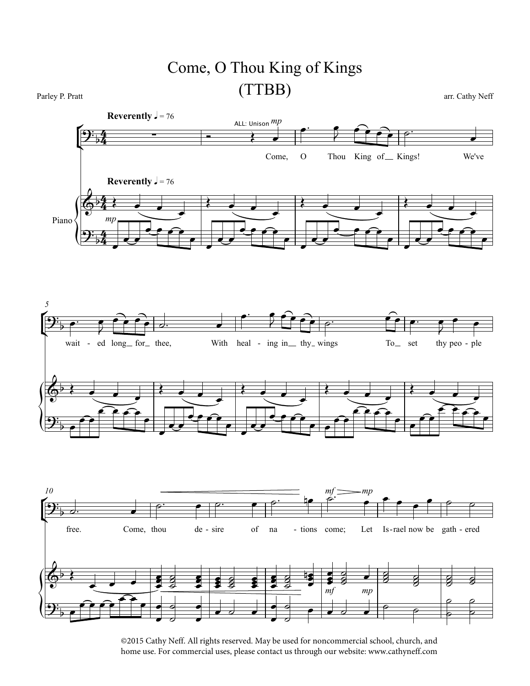## Come, O (TTBB) Come, O Thou King of Kings Come, O Thou King of Kings<br>
(TTBB) arr. Cathy Neff





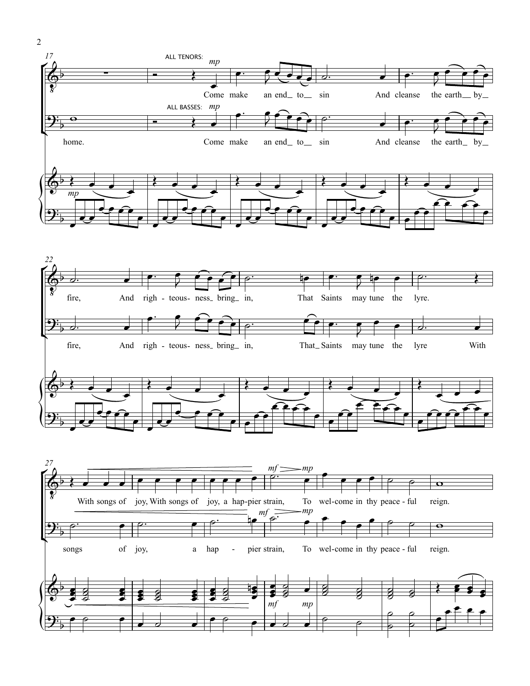



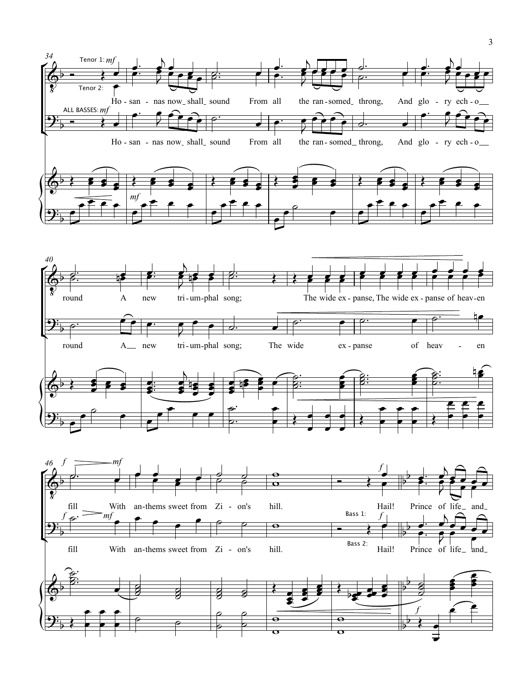